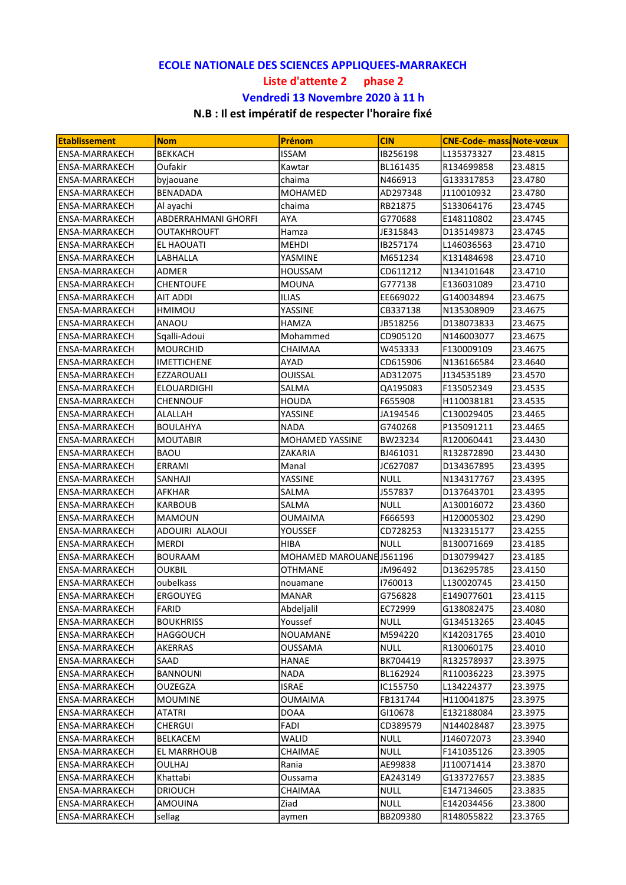## ECOLE NATIONALE DES SCIENCES APPLIQUEES-MARRAKECH Liste d'attente 2 phase 2 Vendredi 13 Novembre 2020 à 11 h

## N.B : Il est impératif de respecter l'horaire fixé

| <b>Etablissement</b>  | <b>Nom</b>          | Prénom                   | <b>CIN</b>  | <b>CNE-Code- mass Note-vœux</b> |         |
|-----------------------|---------------------|--------------------------|-------------|---------------------------------|---------|
| <b>ENSA-MARRAKECH</b> | <b>BEKKACH</b>      | <b>ISSAM</b>             | IB256198    | L135373327                      | 23.4815 |
| <b>ENSA-MARRAKECH</b> | Oufakir             | Kawtar                   | BL161435    | R134699858                      | 23.4815 |
| <b>ENSA-MARRAKECH</b> | byjaouane           | chaima                   | N466913     | G133317853                      | 23.4780 |
| <b>ENSA-MARRAKECH</b> | <b>BENADADA</b>     | <b>MOHAMED</b>           | AD297348    | J110010932                      | 23.4780 |
| <b>ENSA-MARRAKECH</b> | Al ayachi           | chaima                   | RB21875     | S133064176                      | 23.4745 |
| <b>ENSA-MARRAKECH</b> | ABDERRAHMANI GHORFI | AYA                      | G770688     | E148110802                      | 23.4745 |
| <b>ENSA-MARRAKECH</b> | OUTAKHROUFT         | Hamza                    | JE315843    | D135149873                      | 23.4745 |
| <b>ENSA-MARRAKECH</b> | EL HAOUATI          | <b>MEHDI</b>             | IB257174    | L146036563                      | 23.4710 |
| <b>ENSA-MARRAKECH</b> | LABHALLA            | YASMINE                  | M651234     | K131484698                      | 23.4710 |
| <b>ENSA-MARRAKECH</b> | ADMER               | <b>HOUSSAM</b>           | CD611212    | N134101648                      | 23.4710 |
| <b>ENSA-MARRAKECH</b> | CHENTOUFE           | MOUNA                    | G777138     | E136031089                      | 23.4710 |
| <b>ENSA-MARRAKECH</b> | AIT ADDI            | <b>ILIAS</b>             | EE669022    | G140034894                      | 23.4675 |
| <b>ENSA-MARRAKECH</b> | HMIMOU              | YASSINE                  | CB337138    | N135308909                      | 23.4675 |
| <b>ENSA-MARRAKECH</b> | ANAOU               | HAMZA                    | JB518256    | D138073833                      | 23.4675 |
| <b>ENSA-MARRAKECH</b> | Sqalli-Adoui        | Mohammed                 | CD905120    | N146003077                      | 23.4675 |
| <b>ENSA-MARRAKECH</b> | MOURCHID            | CHAIMAA                  | W453333     | F130009109                      | 23.4675 |
| <b>ENSA-MARRAKECH</b> | IMETTICHENE         | AYAD                     | CD615906    | N136166584                      | 23.4640 |
| <b>ENSA-MARRAKECH</b> | EZZAROUALI          | <b>OUISSAL</b>           | AD312075    | J134535189                      | 23.4570 |
| <b>ENSA-MARRAKECH</b> | ELOUARDIGHI         | SALMA                    | QA195083    | F135052349                      | 23.4535 |
| <b>ENSA-MARRAKECH</b> | CHENNOUF            | <b>HOUDA</b>             | F655908     | H110038181                      | 23.4535 |
| <b>ENSA-MARRAKECH</b> | ALALLAH             | YASSINE                  | JA194546    | C130029405                      | 23.4465 |
| <b>ENSA-MARRAKECH</b> | BOULAHYA            | <b>NADA</b>              | G740268     | P135091211                      | 23.4465 |
| <b>ENSA-MARRAKECH</b> | <b>MOUTABIR</b>     | <b>MOHAMED YASSINE</b>   | BW23234     | R120060441                      | 23.4430 |
| <b>ENSA-MARRAKECH</b> | BAOU                | ZAKARIA                  | BJ461031    | R132872890                      | 23.4430 |
| <b>ENSA-MARRAKECH</b> | ERRAMI              | Manal                    | JC627087    | D134367895                      | 23.4395 |
| <b>ENSA-MARRAKECH</b> | SANHAJI             | YASSINE                  | <b>NULL</b> | N134317767                      | 23.4395 |
| <b>ENSA-MARRAKECH</b> | AFKHAR              | SALMA                    | J557837     | D137643701                      | 23.4395 |
| <b>ENSA-MARRAKECH</b> | KARBOUB             | SALMA                    | <b>NULL</b> | A130016072                      | 23.4360 |
| ENSA-MARRAKECH        | MAMOUN              | <b>OUMAIMA</b>           | F666593     | H120005302                      | 23.4290 |
| ENSA-MARRAKECH        | ADOUIRI ALAOUI      | YOUSSEF                  | CD728253    | N132315177                      | 23.4255 |
| <b>ENSA-MARRAKECH</b> | MERDI               | HIBA                     | <b>NULL</b> | B130071669                      | 23.4185 |
| <b>ENSA-MARRAKECH</b> | <b>BOURAAM</b>      | MOHAMED MAROUANE 1561196 |             | D130799427                      | 23.4185 |
| <b>ENSA-MARRAKECH</b> | <b>OUKBIL</b>       | <b>OTHMANE</b>           | JM96492     | D136295785                      | 23.4150 |
| <b>ENSA-MARRAKECH</b> | oubelkass           | nouamane                 | 1760013     | L130020745                      | 23.4150 |
| <b>ENSA-MARRAKECH</b> | <b>ERGOUYEG</b>     | <b>MANAR</b>             | G756828     | E149077601                      | 23.4115 |
| ENSA-MARRAKECH        | FARID               | Abdeljalil               | EC72999     | G138082475                      | 23.4080 |
| <b>ENSA-MARRAKECH</b> | <b>BOUKHRISS</b>    | Youssef                  | <b>NULL</b> | G134513265                      | 23.4045 |
| ENSA-MARRAKECH        | <b>HAGGOUCH</b>     | <b>NOUAMANE</b>          | M594220     | K142031765                      | 23.4010 |
| ENSA-MARRAKECH        | AKERRAS             | OUSSAMA                  | <b>NULL</b> | R130060175                      | 23.4010 |
| <b>ENSA-MARRAKECH</b> | SAAD                | HANAE                    | BK704419    | R132578937                      | 23.3975 |
| <b>ENSA-MARRAKECH</b> | BANNOUNI            | <b>NADA</b>              | BL162924    | R110036223                      | 23.3975 |
| <b>ENSA-MARRAKECH</b> | OUZEGZA             | <b>ISRAE</b>             | IC155750    | L134224377                      | 23.3975 |
| <b>ENSA-MARRAKECH</b> | <b>MOUMINE</b>      | <b>OUMAIMA</b>           | FB131744    | H110041875                      | 23.3975 |
| <b>ENSA-MARRAKECH</b> | ATATRI              | <b>DOAA</b>              | GI10678     | E132188084                      | 23.3975 |
| <b>ENSA-MARRAKECH</b> | <b>CHERGUI</b>      | FADI                     | CD389579    | N144028487                      | 23.3975 |
| <b>ENSA-MARRAKECH</b> | BELKACEM            | WALID                    | <b>NULL</b> | J146072073                      | 23.3940 |
| <b>ENSA-MARRAKECH</b> | EL MARRHOUB         | CHAIMAE                  | <b>NULL</b> | F141035126                      | 23.3905 |
| <b>ENSA-MARRAKECH</b> | OULHAJ              | Rania                    | AE99838     | J110071414                      | 23.3870 |
| <b>ENSA-MARRAKECH</b> | Khattabi            | Oussama                  | EA243149    | G133727657                      | 23.3835 |
| <b>ENSA-MARRAKECH</b> | <b>DRIOUCH</b>      | CHAIMAA                  | <b>NULL</b> | E147134605                      | 23.3835 |
| <b>ENSA-MARRAKECH</b> | AMOUINA             | Ziad                     | <b>NULL</b> | E142034456                      | 23.3800 |
| <b>ENSA-MARRAKECH</b> | sellag              |                          | BB209380    | R148055822                      | 23.3765 |
|                       |                     | aymen                    |             |                                 |         |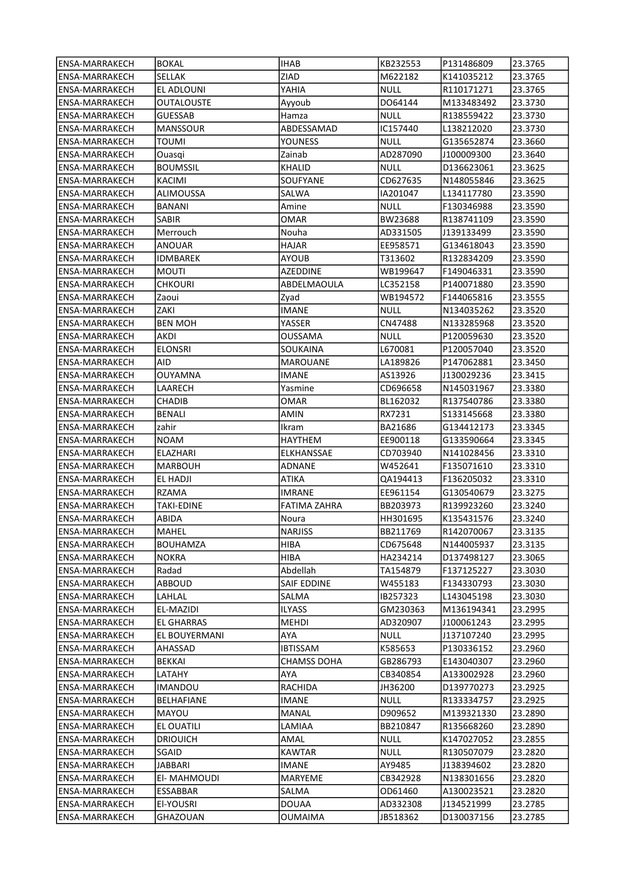| lENSA-MARRAKECH       | <b>BOKAL</b>     | <b>IHAB</b>     | KB232553    | P131486809  | 23.3765 |
|-----------------------|------------------|-----------------|-------------|-------------|---------|
| <b>ENSA-MARRAKECH</b> | SELLAK           | ZIAD            | M622182     | K141035212  | 23.3765 |
| <b>ENSA-MARRAKECH</b> | EL ADLOUNI       | YAHIA           | NULL        | R110171271  | 23.3765 |
| <b>ENSA-MARRAKECH</b> | OUTALOUSTE       | Ayyoub          | DO64144     | M133483492  | 23.3730 |
| <b>ENSA-MARRAKECH</b> | <b>GUESSAB</b>   | Hamza           | <b>NULL</b> | R138559422  | 23.3730 |
| <b>ENSA-MARRAKECH</b> | <b>MANSSOUR</b>  | ABDESSAMAD      | IC157440    | L138212020  | 23.3730 |
| <b>ENSA-MARRAKECH</b> | <b>TOUMI</b>     | YOUNESS         | <b>NULL</b> | G135652874  | 23.3660 |
| <b>ENSA-MARRAKECH</b> | Ouasqi           | Zainab          | AD287090    | J100009300  | 23.3640 |
| <b>ENSA-MARRAKECH</b> | <b>BOUMSSIL</b>  | <b>KHALID</b>   | <b>NULL</b> | D136623061  | 23.3625 |
| ENSA-MARRAKECH        | KACIMI           | SOUFYANE        | CD627635    | N148055846  | 23.3625 |
| <b>ENSA-MARRAKECH</b> | <b>ALIMOUSSA</b> | SALWA           | IA201047    | L134117780  | 23.3590 |
| <b>ENSA-MARRAKECH</b> | BANANI           | Amine           | NULL        | F130346988  | 23.3590 |
| <b>ENSA-MARRAKECH</b> | SABIR            | OMAR            | BW23688     | R138741109  | 23.3590 |
| <b>ENSA-MARRAKECH</b> | Merrouch         | Nouha           | AD331505    | J139133499  | 23.3590 |
| <b>ENSA-MARRAKECH</b> | ANOUAR           | HAJAR           | EE958571    | G134618043  | 23.3590 |
| <b>ENSA-MARRAKECH</b> | IDMBAREK         | AYOUB           | T313602     | R132834209  | 23.3590 |
| <b>ENSA-MARRAKECH</b> | MOUTI            | AZEDDINE        | WB199647    | F149046331  | 23.3590 |
| ENSA-MARRAKECH        | CHKOURI          | ABDELMAOULA     | LC352158    | P140071880  | 23.3590 |
| <b>ENSA-MARRAKECH</b> | Zaoui            | Zyad            | WB194572    | F144065816  | 23.3555 |
| <b>ENSA-MARRAKECH</b> | ZAKI             | IMANE           | NULL        | N134035262  | 23.3520 |
| <b>ENSA-MARRAKECH</b> | <b>BEN MOH</b>   | YASSER          | CN47488     | N133285968  | 23.3520 |
| <b>ENSA-MARRAKECH</b> | AKDI             | OUSSAMA         | NULL        | P120059630  | 23.3520 |
| <b>ENSA-MARRAKECH</b> | <b>ELONSRI</b>   | SOUKAINA        | L670081     | P120057040  | 23.3520 |
|                       | AID              |                 | LA189826    |             |         |
| <b>ENSA-MARRAKECH</b> |                  | <b>MAROUANE</b> |             | P147062881  | 23.3450 |
| <b>ENSA-MARRAKECH</b> | <b>OUYAMNA</b>   | <b>IMANE</b>    | AS13926     | J130029236  | 23.3415 |
| ENSA-MARRAKECH        | LAARECH          | Yasmine         | CD696658    | N145031967  | 23.3380 |
| <b>ENSA-MARRAKECH</b> | CHADIB           | OMAR            | BL162032    | R137540786  | 23.3380 |
| ENSA-MARRAKECH        | <b>BENALI</b>    | AMIN            | RX7231      | \$133145668 | 23.3380 |
| <b>ENSA-MARRAKECH</b> | zahir            | Ikram           | BA21686     | G134412173  | 23.3345 |
| <b>ENSA-MARRAKECH</b> | <b>NOAM</b>      | HAYTHEM         | EE900118    | G133590664  | 23.3345 |
| <b>ENSA-MARRAKECH</b> | ELAZHARI         | ELKHANSSAE      | CD703940    | N141028456  | 23.3310 |
| <b>ENSA-MARRAKECH</b> | <b>MARBOUH</b>   | <b>ADNANE</b>   | W452641     | F135071610  | 23.3310 |
| <b>ENSA-MARRAKECH</b> | EL HADJI         | ATIKA           | QA194413    | F136205032  | 23.3310 |
| <b>ENSA-MARRAKECH</b> | <b>RZAMA</b>     | IMRANE          | EE961154    | G130540679  | 23.3275 |
| ENSA-MARRAKECH        | TAKI-EDINE       | FATIMA ZAHRA    | BB203973    | R139923260  | 23.3240 |
| <b>ENSA-MARRAKECH</b> | ABIDA            | Noura           | HH301695    | K135431576  | 23.3240 |
| ENSA-MARRAKECH        | <b>MAHEL</b>     | <b>NARJISS</b>  | BB211769    | R142070067  | 23.3135 |
| ENSA-MARRAKECH        | <b>BOUHAMZA</b>  | HIBA            | CD675648    | N144005937  | 23.3135 |
| ENSA-MARRAKECH        | <b>NOKRA</b>     | HIBA            | HA234214    | D137498127  | 23.3065 |
| <b>ENSA-MARRAKECH</b> | Radad            | Abdellah        | TA154879    | F137125227  | 23.3030 |
| <b>ENSA-MARRAKECH</b> | ABBOUD           | SAIF EDDINE     | W455183     | F134330793  | 23.3030 |
| ENSA-MARRAKECH        | LAHLAL           | SALMA           | IB257323    | L143045198  | 23.3030 |
| <b>ENSA-MARRAKECH</b> | EL-MAZIDI        | <b>ILYASS</b>   | GM230363    | M136194341  | 23.2995 |
| <b>ENSA-MARRAKECH</b> | EL GHARRAS       | MEHDI           | AD320907    | J100061243  | 23.2995 |
| <b>ENSA-MARRAKECH</b> | EL BOUYERMANI    | AYA             | <b>NULL</b> | J137107240  | 23.2995 |
| <b>ENSA-MARRAKECH</b> | AHASSAD          | IBTISSAM        | K585653     | P130336152  | 23.2960 |
| <b>ENSA-MARRAKECH</b> | <b>BEKKAI</b>    | CHAMSS DOHA     | GB286793    | E143040307  | 23.2960 |
| ENSA-MARRAKECH        | LATAHY           | AYA             | CB340854    | A133002928  | 23.2960 |
| ENSA-MARRAKECH        | <b>IMANDOU</b>   | RACHIDA         | JH36200     | D139770273  | 23.2925 |
| <b>ENSA-MARRAKECH</b> | BELHAFIANE       | IMANE           | <b>NULL</b> | R133334757  | 23.2925 |
| ENSA-MARRAKECH        | MAYOU            | MANAL           | D909652     | M139321330  | 23.2890 |
| ENSA-MARRAKECH        | EL OUATILI       | LAMIAA          | BB210847    | R135668260  | 23.2890 |
| <b>ENSA-MARRAKECH</b> | <b>DRIOUICH</b>  | AMAL            | NULL        | K147027052  | 23.2855 |
| <b>ENSA-MARRAKECH</b> | SGAID            | <b>KAWTAR</b>   | <b>NULL</b> | R130507079  | 23.2820 |
| <b>ENSA-MARRAKECH</b> | JABBARI          | IMANE           | AY9485      | J138394602  | 23.2820 |
| ENSA-MARRAKECH        | El- MAHMOUDI     | MARYEME         | CB342928    | N138301656  | 23.2820 |
| ENSA-MARRAKECH        | ESSABBAR         | SALMA           | OD61460     | A130023521  | 23.2820 |
| <b>ENSA-MARRAKECH</b> | El-YOUSRI        | DOUAA           | AD332308    | J134521999  | 23.2785 |
| ENSA-MARRAKECH        | GHAZOUAN         | OUMAIMA         | JB518362    | D130037156  | 23.2785 |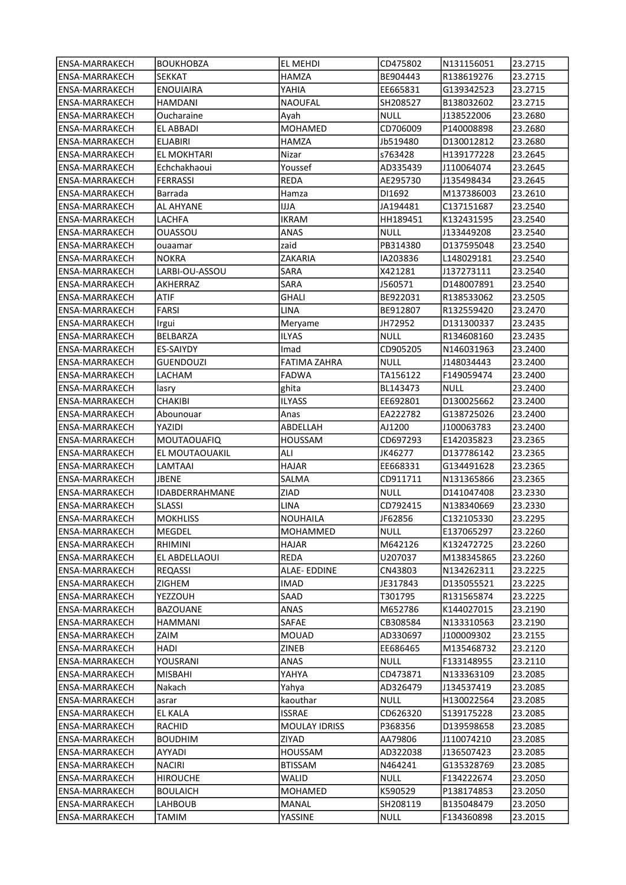| lENSA-MARRAKECH       | <b>BOUKHOBZA</b>   | EL MEHDI            | CD475802    | N131156051 | 23.2715 |
|-----------------------|--------------------|---------------------|-------------|------------|---------|
| <b>ENSA-MARRAKECH</b> | SEKKAT             | HAMZA               | BE904443    | R138619276 | 23.2715 |
| ENSA-MARRAKECH        | <b>ENOUIAIRA</b>   | YAHIA               | EE665831    | G139342523 | 23.2715 |
| ENSA-MARRAKECH        | HAMDANI            | NAOUFAL             | SH208527    | B138032602 | 23.2715 |
| ENSA-MARRAKECH        | Oucharaine         | Ayah                | NULL        | J138522006 | 23.2680 |
| <b>ENSA-MARRAKECH</b> | EL ABBADI          | <b>MOHAMED</b>      | CD706009    | P140008898 | 23.2680 |
| <b>ENSA-MARRAKECH</b> | <b>ELJABIRI</b>    | HAMZA               | Jb519480    | D130012812 | 23.2680 |
| <b>ENSA-MARRAKECH</b> | <b>EL MOKHTARI</b> | Nizar               | s763428     | H139177228 | 23.2645 |
| ENSA-MARRAKECH        | Echchakhaoui       | Youssef             | AD335439    | J110064074 | 23.2645 |
| ENSA-MARRAKECH        | <b>FERRASSI</b>    | REDA                | AE295730    | J135498434 | 23.2645 |
| ENSA-MARRAKECH        | Barrada            | Hamza               | DI1692      | M137386003 | 23.2610 |
| <b>ENSA-MARRAKECH</b> | <b>AL AHYANE</b>   | IJA                 | JA194481    | C137151687 | 23.2540 |
| <b>ENSA-MARRAKECH</b> | LACHFA             | IKRAM               | HH189451    | K132431595 | 23.2540 |
| ENSA-MARRAKECH        | OUASSOU            | ANAS                | NULL        | J133449208 | 23.2540 |
| ENSA-MARRAKECH        | ouaamar            | zaid                | PB314380    | D137595048 | 23.2540 |
| ENSA-MARRAKECH        | <b>NOKRA</b>       | ZAKARIA             | IA203836    | L148029181 | 23.2540 |
| ENSA-MARRAKECH        | LARBI-OU-ASSOU     | <b>SARA</b>         | X421281     | J137273111 | 23.2540 |
| ENSA-MARRAKECH        | AKHERRAZ           | SARA                | J560571     | D148007891 | 23.2540 |
| <b>ENSA-MARRAKECH</b> | ATIF               | GHALI               | BE922031    | R138533062 | 23.2505 |
| ENSA-MARRAKECH        | FARSI              | LINA                | BE912807    | R132559420 | 23.2470 |
| <b>ENSA-MARRAKECH</b> | Irgui              | Meryame             | JH72952     | D131300337 | 23.2435 |
| ENSA-MARRAKECH        | BELBARZA           | ILYAS               | NULL        | R134608160 | 23.2435 |
| ENSA-MARRAKECH        | ES-SAIYDY          | Imad                | CD905205    | N146031963 | 23.2400 |
| ENSA-MARRAKECH        | <b>GUENDOUZI</b>   | <b>FATIMA ZAHRA</b> | NULL        | J148034443 | 23.2400 |
| ENSA-MARRAKECH        | LACHAM             | <b>FADWA</b>        | TA156122    | F149059474 | 23.2400 |
| ENSA-MARRAKECH        | lasry              | ghita               | BL143473    | NULL       | 23.2400 |
| ENSA-MARRAKECH        | CHAKIBI            | ILYASS              | EE692801    | D130025662 | 23.2400 |
| ENSA-MARRAKECH        |                    |                     | EA222782    | G138725026 | 23.2400 |
|                       | Abounouar          | Anas<br>ABDELLAH    |             |            | 23.2400 |
| ENSA-MARRAKECH        | YAZIDI             |                     | AJ1200      | J100063783 |         |
| ENSA-MARRAKECH        | <b>MOUTAOUAFIQ</b> | HOUSSAM             | CD697293    | E142035823 | 23.2365 |
| ENSA-MARRAKECH        | EL MOUTAOUAKIL     | ALI                 | JK46277     | D137786142 | 23.2365 |
| ENSA-MARRAKECH        | LAMTAAI            | HAJAR               | EE668331    | G134491628 | 23.2365 |
| <b>ENSA-MARRAKECH</b> | JBENE              | SALMA               | CD911711    | N131365866 | 23.2365 |
| <b>ENSA-MARRAKECH</b> | IDABDERRAHMANE     | ZIAD                | NULL        | D141047408 | 23.2330 |
| ENSA-MARRAKECH        | SLASSI             | LINA                | CD792415    | N138340669 | 23.2330 |
| <b>ENSA-MARRAKECH</b> | <b>MOKHLISS</b>    | <b>NOUHAILA</b>     | JF62856     | C132105330 | 23.2295 |
| <b>ENSA-MARRAKECH</b> | <b>MEGDEL</b>      | MOHAMMED            | <b>NULL</b> | E137065297 | 23.2260 |
| ENSA-MARRAKECH        | RHIMINI            | HAJAR               | M642126     | K132472725 | 23.2260 |
| ENSA-MARRAKECH        | EL ABDELLAOUI      | REDA                | U207037     | M138345865 | 23.2260 |
| <b>ENSA-MARRAKECH</b> | <b>REQASSI</b>     | ALAE-EDDINE         | CN43803     | N134262311 | 23.2225 |
| <b>ENSA-MARRAKECH</b> | ZIGHEM             | IMAD                | JE317843    | D135055521 | 23.2225 |
| ENSA-MARRAKECH        | YEZZOUH            | SAAD                | T301795     | R131565874 | 23.2225 |
| <b>ENSA-MARRAKECH</b> | <b>BAZOUANE</b>    | ANAS                | M652786     | K144027015 | 23.2190 |
| <b>ENSA-MARRAKECH</b> | HAMMANI            | SAFAE               | CB308584    | N133310563 | 23.2190 |
| <b>ENSA-MARRAKECH</b> | ZAIM               | MOUAD               | AD330697    | J100009302 | 23.2155 |
| <b>ENSA-MARRAKECH</b> | HADI               | ZINEB               | EE686465    | M135468732 | 23.2120 |
| <b>ENSA-MARRAKECH</b> | YOUSRANI           | ANAS                | <b>NULL</b> | F133148955 | 23.2110 |
| ENSA-MARRAKECH        | MISBAHI            | YAHYA               | CD473871    | N133363109 | 23.2085 |
| <b>ENSA-MARRAKECH</b> | Nakach             | Yahya               | AD326479    | J134537419 | 23.2085 |
| ENSA-MARRAKECH        | asrar              | kaouthar            | <b>NULL</b> | H130022564 | 23.2085 |
| ENSA-MARRAKECH        | EL KALA            | ISSRAE              | CD626320    | S139175228 | 23.2085 |
| ENSA-MARRAKECH        | RACHID             | MOULAY IDRISS       | P368356     | D139598658 | 23.2085 |
| <b>ENSA-MARRAKECH</b> | <b>BOUDHIM</b>     | ZIYAD               | AA79806     | J110074210 | 23.2085 |
| <b>ENSA-MARRAKECH</b> | AYYADI             | <b>HOUSSAM</b>      | AD322038    | J136507423 | 23.2085 |
| <b>ENSA-MARRAKECH</b> | <b>NACIRI</b>      | BTISSAM             | N464241     | G135328769 | 23.2085 |
| ENSA-MARRAKECH        | <b>HIROUCHE</b>    | WALID               | <b>NULL</b> | F134222674 | 23.2050 |
| ENSA-MARRAKECH        | <b>BOULAICH</b>    | MOHAMED             | K590529     | P138174853 | 23.2050 |
| <b>ENSA-MARRAKECH</b> | LAHBOUB            | MANAL               | SH208119    | B135048479 | 23.2050 |
| ENSA-MARRAKECH        | TAMIM              | YASSINE             | <b>NULL</b> | F134360898 | 23.2015 |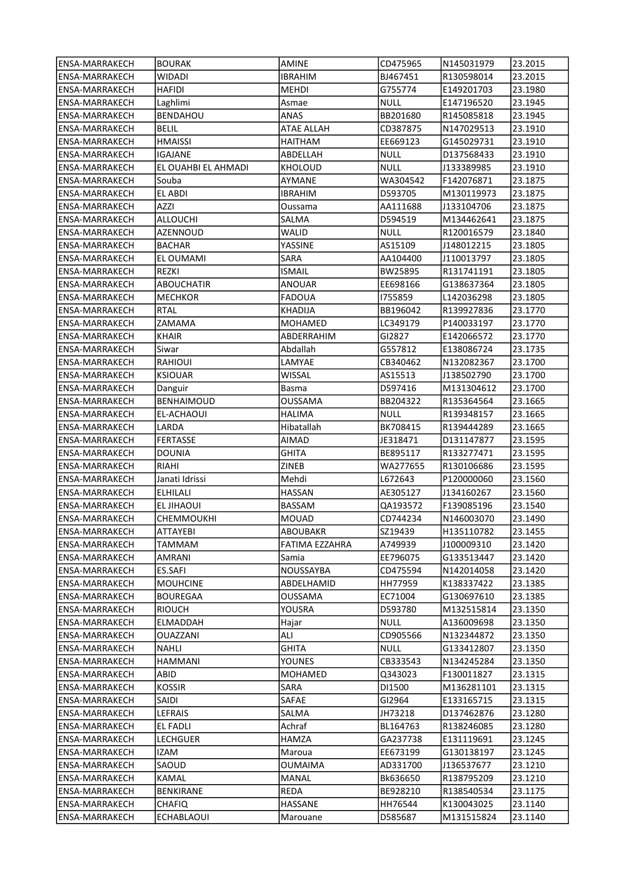| lensa-marrakech       | <b>BOURAK</b>        | <b>AMINE</b>      | CD475965         | N145031979 | 23.2015            |
|-----------------------|----------------------|-------------------|------------------|------------|--------------------|
| ENSA-MARRAKECH        | WIDADI               | IBRAHIM           | BJ467451         | R130598014 | 23.2015            |
| ENSA-MARRAKECH        | HAFIDI               | MEHDI             | G755774          | E149201703 | 23.1980            |
| <b>ENSA-MARRAKECH</b> | Laghlimi             | Asmae             | NULL             | E147196520 | 23.1945            |
| <b>ENSA-MARRAKECH</b> | <b>BENDAHOU</b>      | ANAS              | BB201680         | R145085818 | 23.1945            |
| ENSA-MARRAKECH        | <b>BELIL</b>         | <b>ATAE ALLAH</b> | CD387875         | N147029513 | 23.1910            |
| ENSA-MARRAKECH        | <b>HMAISSI</b>       | HAITHAM           | EE669123         | G145029731 | 23.1910            |
| ENSA-MARRAKECH        | <b>IGAJANE</b>       | ABDELLAH          | <b>NULL</b>      | D137568433 | 23.1910            |
| <b>ENSA-MARRAKECH</b> | EL OUAHBI EL AHMADI  | <b>KHOLOUD</b>    | <b>NULL</b>      | J133389985 | 23.1910            |
| ENSA-MARRAKECH        | Souba                | AYMANE            | WA304542         | F142076871 | 23.1875            |
| ENSA-MARRAKECH        | EL ABDI              | IBRAHIM           | D593705          | M130119973 | 23.1875            |
| ENSA-MARRAKECH        | AZZI                 |                   | AA111688         | J133104706 | 23.1875            |
|                       |                      | Oussama           |                  |            | 23.1875            |
| ENSA-MARRAKECH        | ALLOUCHI             | SALMA             | D594519          | M134462641 |                    |
| <b>ENSA-MARRAKECH</b> | AZENNOUD             | WALID             | NULL             | R120016579 | 23.1840            |
| ENSA-MARRAKECH        | <b>BACHAR</b>        | YASSINE           | AS15109          | J148012215 | 23.1805            |
| ENSA-MARRAKECH        | EL OUMAMI            | SARA              | AA104400         | J110013797 | 23.1805            |
| <b>ENSA-MARRAKECH</b> | REZKI                | ISMAIL            | BW25895          | R131741191 | 23.1805            |
| <b>ENSA-MARRAKECH</b> | <b>ABOUCHATIR</b>    | ANOUAR            | EE698166         | G138637364 | 23.1805            |
| ENSA-MARRAKECH        | <b>MECHKOR</b>       | FADOUA            | 1755859          | L142036298 | 23.1805            |
| ENSA-MARRAKECH        | <b>RTAL</b>          | KHADIJA           | BB196042         | R139927836 | 23.1770            |
| ENSA-MARRAKECH        | ZAMAMA               | MOHAMED           | LC349179         | P140033197 | 23.1770            |
| ENSA-MARRAKECH        | KHAIR                | ABDERRAHIM        | GI2827           | E142066572 | 23.1770            |
| ENSA-MARRAKECH        | Siwar                | Abdallah          | G557812          | E138086724 | 23.1735            |
| ENSA-MARRAKECH        | RAHIOUI              | LAMYAE            | CB340462         | N132082367 | 23.1700            |
| ENSA-MARRAKECH        | <b>KSIOUAR</b>       | WISSAL            | AS15513          | J138502790 | 23.1700            |
| ENSA-MARRAKECH        | Danguir              | Basma             | D597416          | M131304612 | 23.1700            |
| ENSA-MARRAKECH        | <b>BENHAIMOUD</b>    | OUSSAMA           | BB204322         | R135364564 | 23.1665            |
| ENSA-MARRAKECH        | EL-ACHAOUI           | HALIMA            | NULL             | R139348157 | 23.1665            |
| ENSA-MARRAKECH        | LARDA                | Hibatallah        | BK708415         | R139444289 | 23.1665            |
| ENSA-MARRAKECH        | <b>FERTASSE</b>      | AIMAD             | JE318471         | D131147877 | 23.1595            |
| ENSA-MARRAKECH        | DOUNIA               | GHITA             | BE895117         | R133277471 | 23.1595            |
| <b>ENSA-MARRAKECH</b> | RIAHI                | ZINEB             | WA277655         | R130106686 | 23.1595            |
| ENSA-MARRAKECH        | Janati Idrissi       | Mehdi             | L672643          | P120000060 | 23.1560            |
| <b>ENSA-MARRAKECH</b> | <b>ELHILALI</b>      | HASSAN            | AE305127         | J134160267 | 23.1560            |
| ENSA-MARRAKECH        | EL JIHAOUI           | BASSAM            | QA193572         | F139085196 | 23.1540            |
| ENSA-MARRAKECH        | CHEMMOUKHI           | MOUAD             | CD744234         | N146003070 | 23.1490            |
| ENSA-MARRAKECH        | <b>ATTAYEBI</b>      | ABOUBAKR          | SZ19439          | H135110782 | 23.1455            |
| ENSA-MARRAKECH        | TAMMAM               | FATIMA EZZAHRA    | A749939          | J100009310 | 23.1420            |
| ENSA-MARRAKECH        | AMRANI               | Samia             | EE796075         | G133513447 | 23.1420            |
| ENSA-MARRAKECH        | <b>ES.SAFI</b>       | NOUSSAYBA         | CD475594         | N142014058 | 23.1420            |
| <b>ENSA-MARRAKECH</b> | <b>MOUHCINE</b>      | ABDELHAMID        | HH77959          | K138337422 | 23.1385            |
| <b>ENSA-MARRAKECH</b> | <b>BOUREGAA</b>      | OUSSAMA           | EC71004          | G130697610 | 23.1385            |
| ENSA-MARRAKECH        | <b>RIOUCH</b>        | YOUSRA            | D593780          | M132515814 | 23.1350            |
| <b>ENSA-MARRAKECH</b> |                      |                   |                  | A136009698 |                    |
| ENSA-MARRAKECH        | ELMADDAH<br>OUAZZANI | Hajar<br>ALI      | NULL<br>CD905566 | N132344872 | 23.1350<br>23.1350 |
|                       |                      |                   |                  |            |                    |
| <b>ENSA-MARRAKECH</b> | NAHLI                | GHITA             | <b>NULL</b>      | G133412807 | 23.1350            |
| ENSA-MARRAKECH        | HAMMANI              | YOUNES            | CB333543         | N134245284 | 23.1350            |
| ENSA-MARRAKECH        | ABID                 | MOHAMED           | Q343023          | F130011827 | 23.1315            |
| ENSA-MARRAKECH        | <b>KOSSIR</b>        | SARA              | DI1500           | M136281101 | 23.1315            |
| <b>ENSA-MARRAKECH</b> | SAIDI                | SAFAE             | GI2964           | E133165715 | 23.1315            |
| <b>ENSA-MARRAKECH</b> | LEFRAIS              | SALMA             | JH73218          | D137462876 | 23.1280            |
| ENSA-MARRAKECH        | EL FADLI             | Achraf            | BL164763         | R138246085 | 23.1280            |
| ENSA-MARRAKECH        | <b>LECHGUER</b>      | HAMZA             | GA237738         | E131119691 | 23.1245            |
| ENSA-MARRAKECH        | IZAM                 | Maroua            | EE673199         | G130138197 | 23.1245            |
| ENSA-MARRAKECH        | SAOUD                | OUMAIMA           | AD331700         | J136537677 | 23.1210            |
| ENSA-MARRAKECH        | KAMAL                | MANAL             | Bk636650         | R138795209 | 23.1210            |
| ENSA-MARRAKECH        | BENKIRANE            | REDA              | BE928210         | R138540534 | 23.1175            |
| ENSA-MARRAKECH        | <b>CHAFIQ</b>        | HASSANE           | HH76544          | K130043025 | 23.1140            |
| ENSA-MARRAKECH        | ECHABLAOUI           | Marouane          | D585687          | M131515824 | 23.1140            |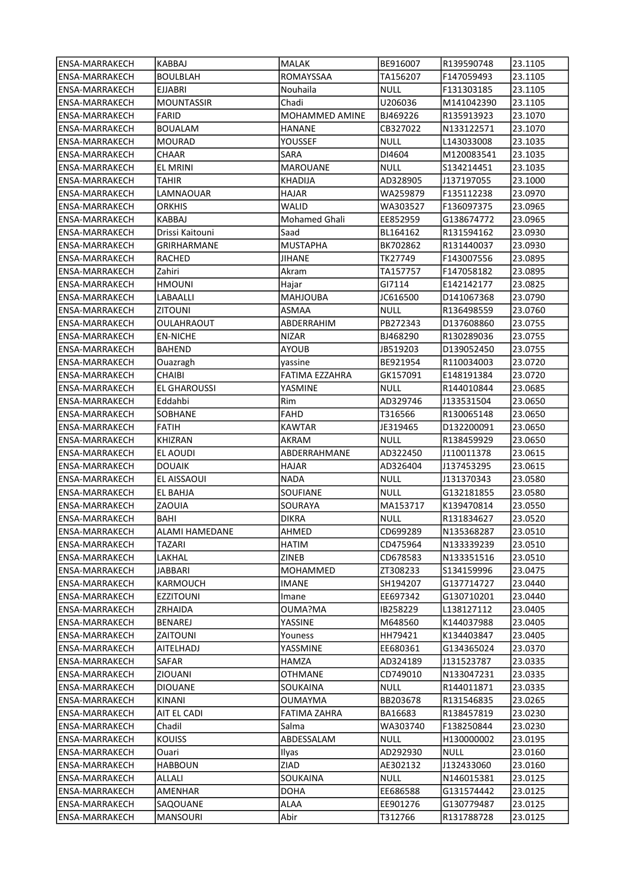| ENSA-MARRAKECH        | KABBAJ                | <b>MALAK</b>    | BE916007    | R139590748 | 23.1105 |
|-----------------------|-----------------------|-----------------|-------------|------------|---------|
| ENSA-MARRAKECH        | BOULBLAH              | ROMAYSSAA       | TA156207    | F147059493 | 23.1105 |
| ENSA-MARRAKECH        | EJJABRI               | Nouhaila        | NULL        | F131303185 | 23.1105 |
| ENSA-MARRAKECH        | <b>MOUNTASSIR</b>     | Chadi           | U206036     | M141042390 | 23.1105 |
| ENSA-MARRAKECH        | <b>FARID</b>          | MOHAMMED AMINE  | BJ469226    | R135913923 | 23.1070 |
| ENSA-MARRAKECH        | <b>BOUALAM</b>        | HANANE          | CB327022    | N133122571 | 23.1070 |
| ENSA-MARRAKECH        | <b>MOURAD</b>         | YOUSSEF         | <b>NULL</b> | L143033008 | 23.1035 |
| <b>ENSA-MARRAKECH</b> | CHAAR                 | SARA            | DI4604      | M120083541 | 23.1035 |
| <b>ENSA-MARRAKECH</b> | EL MRINI              | <b>MAROUANE</b> | <b>NULL</b> | S134214451 | 23.1035 |
| ENSA-MARRAKECH        | TAHIR                 | KHADIJA         | AD328905    | J137197055 | 23.1000 |
| ENSA-MARRAKECH        | LAMNAOUAR             | HAJAR           | WA259879    | F135112238 | 23.0970 |
| <b>ENSA-MARRAKECH</b> | <b>ORKHIS</b>         | WALID           | WA303527    | F136097375 | 23.0965 |
| <b>ENSA-MARRAKECH</b> | KABBAJ                | Mohamed Ghali   | EE852959    | G138674772 | 23.0965 |
| ENSA-MARRAKECH        | Drissi Kaitouni       | Saad            | BL164162    | R131594162 | 23.0930 |
| ENSA-MARRAKECH        | GRIRHARMANE           | <b>MUSTAPHA</b> | BK702862    | R131440037 | 23.0930 |
| ENSA-MARRAKECH        | RACHED                | <b>JIHANE</b>   | TK27749     | F143007556 | 23.0895 |
| ENSA-MARRAKECH        | Zahiri                | Akram           | TA157757    | F147058182 | 23.0895 |
| ENSA-MARRAKECH        | <b>HMOUNI</b>         | Hajar           | GI7114      | E142142177 | 23.0825 |
| ENSA-MARRAKECH        | LABAALLI              | <b>MAHJOUBA</b> | JC616500    | D141067368 | 23.0790 |
| <b>ENSA-MARRAKECH</b> | <b>ZITOUNI</b>        | ASMAA           | NULL        | R136498559 | 23.0760 |
| <b>ENSA-MARRAKECH</b> | <b>OULAHRAOUT</b>     | ABDERRAHIM      | PB272343    | D137608860 | 23.0755 |
| ENSA-MARRAKECH        | <b>EN-NICHE</b>       | <b>NIZAR</b>    | BJ468290    | R130289036 | 23.0755 |
| ENSA-MARRAKECH        | <b>BAHEND</b>         | <b>AYOUB</b>    | JB519203    | D139052450 | 23.0755 |
| ENSA-MARRAKECH        | Ouazragh              | yassine         | BE921954    | R110034003 | 23.0720 |
| ENSA-MARRAKECH        | CHAIBI                | FATIMA EZZAHRA  | GK157091    | E148191384 | 23.0720 |
| ENSA-MARRAKECH        | EL GHAROUSSI          | YASMINE         | NULL        | R144010844 | 23.0685 |
| ENSA-MARRAKECH        | Eddahbi               | Rim             | AD329746    | J133531504 | 23.0650 |
| <b>ENSA-MARRAKECH</b> | SOBHANE               | FAHD            | T316566     | R130065148 | 23.0650 |
| ENSA-MARRAKECH        | FATIH                 | KAWTAR          | JE319465    | D132200091 | 23.0650 |
| ENSA-MARRAKECH        | KHIZRAN               | AKRAM           | NULL        | R138459929 | 23.0650 |
| ENSA-MARRAKECH        | EL AOUDI              | ABDERRAHMANE    | AD322450    | J110011378 | 23.0615 |
| ENSA-MARRAKECH        | <b>DOUAIK</b>         | HAJAR           | AD326404    | J137453295 | 23.0615 |
| <b>ENSA-MARRAKECH</b> | EL AISSAOUI           | <b>NADA</b>     | <b>NULL</b> | J131370343 | 23.0580 |
| ENSA-MARRAKECH        | EL BAHJA              | SOUFIANE        | NULL        | G132181855 | 23.0580 |
| ENSA-MARRAKECH        | ZAOUIA                | SOURAYA         | MA153717    | K139470814 | 23.0550 |
| ENSA-MARRAKECH        | BAHI                  | DIKRA           | NULL        | R131834627 | 23.0520 |
| <b>ENSA-MARRAKECH</b> | <b>ALAMI HAMEDANE</b> | AHMED           | CD699289    | N135368287 | 23.0510 |
| ENSA-MARRAKECH        | TAZARI                | HATIM           | CD475964    | N133339239 | 23.0510 |
| ENSA-MARRAKECH        | LAKHAL                | ZINEB           | CD678583    | N133351516 | 23.0510 |
| <b>ENSA-MARRAKECH</b> | <b>JABBARI</b>        | MOHAMMED        | ZT308233    | S134159996 | 23.0475 |
| ENSA-MARRAKECH        | KARMOUCH              | <b>IMANE</b>    | SH194207    | G137714727 | 23.0440 |
| ENSA-MARRAKECH        | <b>EZZITOUNI</b>      | Imane           | EE697342    | G130710201 | 23.0440 |
| ENSA-MARRAKECH        | ZRHAIDA               | OUMA?MA         | IB258229    | L138127112 | 23.0405 |
| ENSA-MARRAKECH        | BENAREJ               | YASSINE         | M648560     | K144037988 | 23.0405 |
| ENSA-MARRAKECH        | ZAITOUNI              | Youness         | HH79421     | K134403847 | 23.0405 |
| ENSA-MARRAKECH        | <b>AITELHADJ</b>      | YASSMINE        | EE680361    | G134365024 | 23.0370 |
| ENSA-MARRAKECH        | SAFAR                 | HAMZA           | AD324189    | J131523787 | 23.0335 |
| ENSA-MARRAKECH        | <b>ZIOUANI</b>        | OTHMANE         | CD749010    | N133047231 | 23.0335 |
| ENSA-MARRAKECH        | <b>DIOUANE</b>        | SOUKAINA        | <b>NULL</b> | R144011871 | 23.0335 |
| ENSA-MARRAKECH        | KINANI                | OUMAYMA         | BB203678    | R131546835 | 23.0265 |
| ENSA-MARRAKECH        | AIT EL CADI           | FATIMA ZAHRA    | BA16683     | R138457819 | 23.0230 |
| ENSA-MARRAKECH        | Chadil                | Salma           | WA303740    | F138250844 | 23.0230 |
| ENSA-MARRAKECH        | <b>KOUISS</b>         | ABDESSALAM      | NULL        | H130000002 | 23.0195 |
| ENSA-MARRAKECH        | Ouari                 | Ilyas           | AD292930    | NULL       | 23.0160 |
| ENSA-MARRAKECH        | <b>HABBOUN</b>        | ZIAD            | AE302132    | J132433060 | 23.0160 |
| ENSA-MARRAKECH        | ALLALI                | SOUKAINA        | <b>NULL</b> | N146015381 | 23.0125 |
| ENSA-MARRAKECH        | AMENHAR               | <b>DOHA</b>     | EE686588    | G131574442 | 23.0125 |
| ENSA-MARRAKECH        | SAQOUANE              | ALAA            | EE901276    | G130779487 | 23.0125 |
| ENSA-MARRAKECH        | MANSOURI              | Abir            | T312766     | R131788728 | 23.0125 |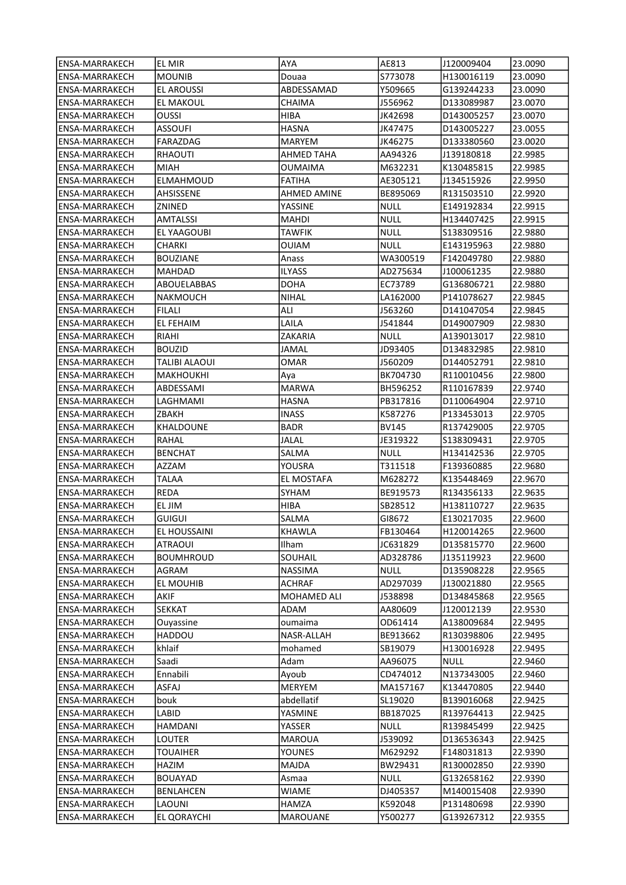| lENSA-MARRAKECH                                | EL MIR              | AYA                   | AE813                | J120009404               | 23.0090            |
|------------------------------------------------|---------------------|-----------------------|----------------------|--------------------------|--------------------|
| ENSA-MARRAKECH                                 | <b>MOUNIB</b>       | Douaa                 | S773078              | H130016119               | 23.0090            |
| ENSA-MARRAKECH                                 | <b>EL AROUSSI</b>   | ABDESSAMAD            | Y509665              | G139244233               | 23.0090            |
| ENSA-MARRAKECH                                 | EL MAKOUL           | CHAIMA                | J556962              | D133089987               | 23.0070            |
| ENSA-MARRAKECH                                 | <b>OUSSI</b>        | HIBA                  | JK42698              | D143005257               | 23.0070            |
| ENSA-MARRAKECH                                 | ASSOUFI             | <b>HASNA</b>          | JK47475              | D143005227               | 23.0055            |
| <b>ENSA-MARRAKECH</b>                          | FARAZDAG            | MARYEM                | JK46275              | D133380560               | 23.0020            |
| ENSA-MARRAKECH                                 | RHAOUTI             | AHMED TAHA            | AA94326              | J139180818               | 22.9985            |
| ENSA-MARRAKECH                                 | MIAH                | OUMAIMA               | M632231              | K130485815               | 22.9985            |
| ENSA-MARRAKECH                                 | ELMAHMOUD           | FATIHA                | AE305121             | J134515926               | 22.9950            |
| ENSA-MARRAKECH                                 | AHSISSENE           | AHMED AMINE           | BE895069             | R131503510               | 22.9920            |
| ENSA-MARRAKECH                                 | ZNINED              | YASSINE               | NULL                 | E149192834               | 22.9915            |
| <b>ENSA-MARRAKECH</b>                          | AMTALSSI            | MAHDI                 | <b>NULL</b>          | H134407425               | 22.9915            |
| ENSA-MARRAKECH                                 | EL YAAGOUBI         | TAWFIK                | NULL                 | \$138309516              | 22.9880            |
| ENSA-MARRAKECH                                 | CHARKI              | OUIAM                 | NULL                 | E143195963               | 22.9880            |
| ENSA-MARRAKECH                                 | <b>BOUZIANE</b>     | Anass                 | WA300519             | F142049780               | 22.9880            |
| ENSA-MARRAKECH                                 | MAHDAD              | ILYASS                | AD275634             | J100061235               | 22.9880            |
|                                                |                     |                       |                      |                          |                    |
| ENSA-MARRAKECH<br>ENSA-MARRAKECH               | ABOUELABBAS         | DOHA<br>NIHAL         | EC73789<br>LA162000  | G136806721<br>P141078627 | 22.9880<br>22.9845 |
|                                                | NAKMOUCH<br>FILALI  | ALI                   |                      |                          |                    |
| ENSA-MARRAKECH                                 |                     |                       | J563260              | D141047054               | 22.9845<br>22.9830 |
| ENSA-MARRAKECH<br><b>ENSA-MARRAKECH</b>        | EL FEHAIM           | LAILA                 | J541844              | D149007909               |                    |
|                                                | RIAHI               | ZAKARIA               | NULL                 | A139013017               | 22.9810            |
| ENSA-MARRAKECH                                 | <b>BOUZID</b>       | <b>JAMAL</b>          | JD93405              | D134832985               | 22.9810            |
| ENSA-MARRAKECH                                 | TALIBI ALAOUI       | OMAR                  | J560209              | D144052791               | 22.9810            |
| ENSA-MARRAKECH                                 | MAKHOUKHI           | Aya                   | BK704730             | R110010456               | 22.9800            |
| ENSA-MARRAKECH                                 | ABDESSAMI           | MARWA                 | BH596252             | R110167839               | 22.9740            |
| ENSA-MARRAKECH                                 | LAGHMAMI            | HASNA                 | PB317816             | D110064904               | 22.9710            |
| ENSA-MARRAKECH                                 | ZBAKH               | INASS                 | K587276              | P133453013               | 22.9705            |
| ENSA-MARRAKECH                                 | KHALDOUNE           | <b>BADR</b>           | BV145                | R137429005               | 22.9705            |
| ENSA-MARRAKECH                                 | RAHAL               | <b>JALAL</b>          | JE319322             | \$138309431              | 22.9705            |
| ENSA-MARRAKECH                                 | <b>BENCHAT</b>      | SALMA                 | <b>NULL</b>          | H134142536               | 22.9705            |
| ENSA-MARRAKECH                                 | AZZAM               | YOUSRA                | T311518              | F139360885               | 22.9680            |
| ENSA-MARRAKECH                                 | TALAA               | EL MOSTAFA            | M628272              | K135448469               | 22.9670            |
| ENSA-MARRAKECH                                 | REDA                | SYHAM                 | BE919573             | R134356133               | 22.9635            |
| ENSA-MARRAKECH                                 | EL JIM              | HIBA                  | SB28512              | H138110727               | 22.9635            |
| ENSA-MARRAKECH                                 | GUIGUI              | SALMA<br>KHAWLA       | GI8672               | E130217035               | 22.9600            |
| <b>ENSA-MARRAKECH</b><br><b>ENSA-MARRAKECH</b> | EL HOUSSAINI        |                       | FB130464<br>JC631829 | H120014265               | 22.9600<br>22.9600 |
|                                                | ATRAOUI             | Ilham                 |                      | D135815770<br>J135119923 |                    |
| ENSA-MARRAKECH                                 | <b>BOUMHROUD</b>    | SOUHAIL               | AD328786             |                          | 22.9600            |
| <b>ENSA-MARRAKECH</b>                          | AGRAM               | NASSIMA               | <b>NULL</b>          | D135908228               | 22.9565            |
| <b>ENSA-MARRAKECH</b>                          | EL MOUHIB           | <b>ACHRAF</b>         | AD297039             | J130021880               | 22.9565            |
| ENSA-MARRAKECH                                 | AKIF                | MOHAMED ALI           | J538898              | D134845868               | 22.9565            |
| ENSA-MARRAKECH                                 | <b>SEKKAT</b>       | ADAM                  | AA80609              | J120012139               | 22.9530            |
| ENSA-MARRAKECH<br>ENSA-MARRAKECH               | Ouyassine<br>HADDOU | oumaima<br>NASR-ALLAH | OD61414<br>BE913662  | A138009684<br>R130398806 | 22.9495<br>22.9495 |
| ENSA-MARRAKECH                                 | khlaif              | mohamed               | SB19079              | H130016928               | 22.9495            |
| ENSA-MARRAKECH                                 | Saadi               | Adam                  | AA96075              | <b>NULL</b>              | 22.9460            |
| ENSA-MARRAKECH                                 | Ennabili            | Ayoub                 | CD474012             | N137343005               | 22.9460            |
| ENSA-MARRAKECH                                 | ASFAJ               | MERYEM                | MA157167             | K134470805               | 22.9440            |
| ENSA-MARRAKECH                                 | bouk                | abdellatif            | SL19020              | B139016068               | 22.9425            |
| ENSA-MARRAKECH                                 | LABID               | YASMINE               | BB187025             | R139764413               | 22.9425            |
| ENSA-MARRAKECH                                 | HAMDANI             | YASSER                | <b>NULL</b>          | R139845499               | 22.9425            |
| ENSA-MARRAKECH                                 | LOUTER              | MAROUA                | J539092              | D136536343               | 22.9425            |
| ENSA-MARRAKECH                                 | TOUAIHER            | <b>YOUNES</b>         | M629292              | F148031813               | 22.9390            |
| ENSA-MARRAKECH                                 | HAZIM               | MAJDA                 | BW29431              | R130002850               | 22.9390            |
| ENSA-MARRAKECH                                 | <b>BOUAYAD</b>      | Asmaa                 | <b>NULL</b>          | G132658162               | 22.9390            |
| ENSA-MARRAKECH                                 | <b>BENLAHCEN</b>    | WIAME                 | DJ405357             | M140015408               | 22.9390            |
| ENSA-MARRAKECH                                 | LAOUNI              | HAMZA                 | K592048              | P131480698               | 22.9390            |
| ENSA-MARRAKECH                                 | EL QORAYCHI         | MAROUANE              | Y500277              | G139267312               | 22.9355            |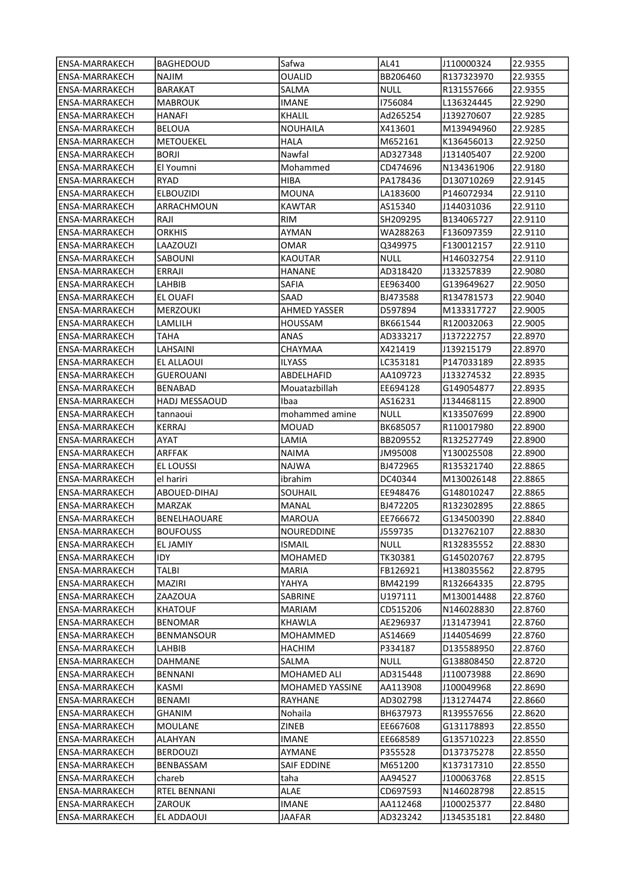| lENSA-MARRAKECH       | <b>BAGHEDOUD</b>     | Safwa           | AL41        | J110000324 | 22.9355 |
|-----------------------|----------------------|-----------------|-------------|------------|---------|
| <b>ENSA-MARRAKECH</b> | NAJIM                | OUALID          | BB206460    | R137323970 | 22.9355 |
| <b>ENSA-MARRAKECH</b> | BARAKAT              | SALMA           | NULL        | R131557666 | 22.9355 |
| ENSA-MARRAKECH        | MABROUK              | <b>IMANE</b>    | 1756084     | L136324445 | 22.9290 |
| ENSA-MARRAKECH        | <b>HANAFI</b>        | <b>KHALIL</b>   | Ad265254    | J139270607 | 22.9285 |
| <b>ENSA-MARRAKECH</b> | <b>BELOUA</b>        | <b>NOUHAILA</b> | X413601     | M139494960 | 22.9285 |
| <b>ENSA-MARRAKECH</b> | <b>METOUEKEL</b>     | <b>HALA</b>     | M652161     | K136456013 | 22.9250 |
| <b>ENSA-MARRAKECH</b> | <b>BORJI</b>         | Nawfal          | AD327348    | J131405407 | 22.9200 |
| ENSA-MARRAKECH        | El Youmni            | Mohammed        | CD474696    | N134361906 | 22.9180 |
| ENSA-MARRAKECH        | RYAD                 | HIBA            | PA178436    | D130710269 | 22.9145 |
| ENSA-MARRAKECH        | <b>ELBOUZIDI</b>     | MOUNA           | LA183600    | P146072934 | 22.9110 |
| <b>ENSA-MARRAKECH</b> | ARRACHMOUN           | <b>KAWTAR</b>   | AS15340     | J144031036 | 22.9110 |
| <b>ENSA-MARRAKECH</b> | RAJI                 | <b>RIM</b>      | SH209295    | B134065727 | 22.9110 |
| ENSA-MARRAKECH        | ORKHIS               | AYMAN           | WA288263    | F136097359 | 22.9110 |
| ENSA-MARRAKECH        | LAAZOUZI             | OMAR            | Q349975     | F130012157 | 22.9110 |
| ENSA-MARRAKECH        | SABOUNI              | KAOUTAR         | <b>NULL</b> | H146032754 | 22.9110 |
| ENSA-MARRAKECH        | ERRAJI               | HANANE          | AD318420    | J133257839 | 22.9080 |
| ENSA-MARRAKECH        | LAHBIB               | SAFIA           | EE963400    | G139649627 | 22.9050 |
| ENSA-MARRAKECH        | EL OUAFI             | SAAD            | BJ473588    | R134781573 | 22.9040 |
| ENSA-MARRAKECH        | MERZOUKI             | AHMED YASSER    | D597894     | M133317727 | 22.9005 |
| ENSA-MARRAKECH        | LAMLILH              | HOUSSAM         | BK661544    | R120032063 | 22.9005 |
| ENSA-MARRAKECH        | ТАНА                 | ANAS            | AD333217    | J137222757 | 22.8970 |
| ENSA-MARRAKECH        | LAHSAINI             | CHAYMAA         | X421419     | J139215179 | 22.8970 |
| ENSA-MARRAKECH        | EL ALLAOUI           | ILYASS          | LC353181    | P147033189 | 22.8935 |
| ENSA-MARRAKECH        | <b>GUEROUANI</b>     | ABDELHAFID      | AA109723    | J133274532 | 22.8935 |
| ENSA-MARRAKECH        | BENABAD              | Mouatazbillah   | EE694128    | G149054877 | 22.8935 |
| ENSA-MARRAKECH        | <b>HADJ MESSAOUD</b> | Ibaa            | AS16231     | J134468115 | 22.8900 |
| ENSA-MARRAKECH        | tannaoui             | mohammed amine  | NULL        | K133507699 | 22.8900 |
| ENSA-MARRAKECH        | KERRAJ               | MOUAD           | BK685057    | R110017980 | 22.8900 |
| ENSA-MARRAKECH        | AYAT                 | LAMIA           | BB209552    | R132527749 | 22.8900 |
| ENSA-MARRAKECH        | ARFFAK               | <b>NAIMA</b>    | JM95008     | Y130025508 | 22.8900 |
| <b>ENSA-MARRAKECH</b> | EL LOUSSI            | NAJWA           | BJ472965    | R135321740 | 22.8865 |
| <b>ENSA-MARRAKECH</b> | el hariri            | ibrahim         | DC40344     | M130026148 | 22.8865 |
| ENSA-MARRAKECH        | ABOUED-DIHAJ         | SOUHAIL         | EE948476    | G148010247 | 22.8865 |
| ENSA-MARRAKECH        | MARZAK               | MANAL           | BJ472205    | R132302895 | 22.8865 |
| ENSA-MARRAKECH        | <b>BENELHAOUARE</b>  | MAROUA          | EE766672    | G134500390 | 22.8840 |
| <b>ENSA-MARRAKECH</b> | <b>BOUFOUSS</b>      | NOUREDDINE      | J559735     | D132762107 | 22.8830 |
| ENSA-MARRAKECH        | EL JAMIY             | ISMAIL          | NULL        | R132835552 | 22.8830 |
| ENSA-MARRAKECH        | IDY                  | MOHAMED         | TK30381     | G145020767 | 22.8795 |
| <b>ENSA-MARRAKECH</b> | <b>TALBI</b>         | <b>MARIA</b>    | FB126921    | H138035562 | 22.8795 |
| ENSA-MARRAKECH        | MAZIRI               | YAHYA           | BM42199     | R132664335 | 22.8795 |
| ENSA-MARRAKECH        | ZAAZOUA              | SABRINE         | U197111     | M130014488 | 22.8760 |
| <b>ENSA-MARRAKECH</b> | KHATOUF              | MARIAM          | CD515206    | N146028830 | 22.8760 |
| <b>ENSA-MARRAKECH</b> | <b>BENOMAR</b>       | KHAWLA          | AE296937    | J131473941 | 22.8760 |
| ENSA-MARRAKECH        | BENMANSOUR           | MOHAMMED        | AS14669     | J144054699 | 22.8760 |
| ENSA-MARRAKECH        | LAHBIB               | HACHIM          | P334187     | D135588950 | 22.8760 |
| ENSA-MARRAKECH        | DAHMANE              | SALMA           | <b>NULL</b> | G138808450 | 22.8720 |
| ENSA-MARRAKECH        | <b>BENNANI</b>       | MOHAMED ALI     | AD315448    | J110073988 | 22.8690 |
| ENSA-MARRAKECH        | KASMI                | MOHAMED YASSINE | AA113908    | J100049968 | 22.8690 |
| ENSA-MARRAKECH        | <b>BENAMI</b>        | RAYHANE         | AD302798    | J131274474 | 22.8660 |
| ENSA-MARRAKECH        | GHANIM               | Nohaila         | BH637973    | R139557656 | 22.8620 |
| ENSA-MARRAKECH        | MOULANE              | ZINEB           | EE667608    | G131178893 | 22.8550 |
| ENSA-MARRAKECH        | ALAHYAN              | IMANE           | EE668589    | G135710223 | 22.8550 |
| ENSA-MARRAKECH        | <b>BERDOUZI</b>      | AYMANE          | P355528     | D137375278 | 22.8550 |
| ENSA-MARRAKECH        | BENBASSAM            | SAIF EDDINE     | M651200     | K137317310 | 22.8550 |
| ENSA-MARRAKECH        | chareb               | taha            | AA94527     | J100063768 | 22.8515 |
| ENSA-MARRAKECH        | RTEL BENNANI         | <b>ALAE</b>     | CD697593    | N146028798 | 22.8515 |
| ENSA-MARRAKECH        | ZAROUK               | <b>IMANE</b>    | AA112468    | J100025377 | 22.8480 |
| ENSA-MARRAKECH        | EL ADDAOUI           | JAAFAR          | AD323242    | J134535181 | 22.8480 |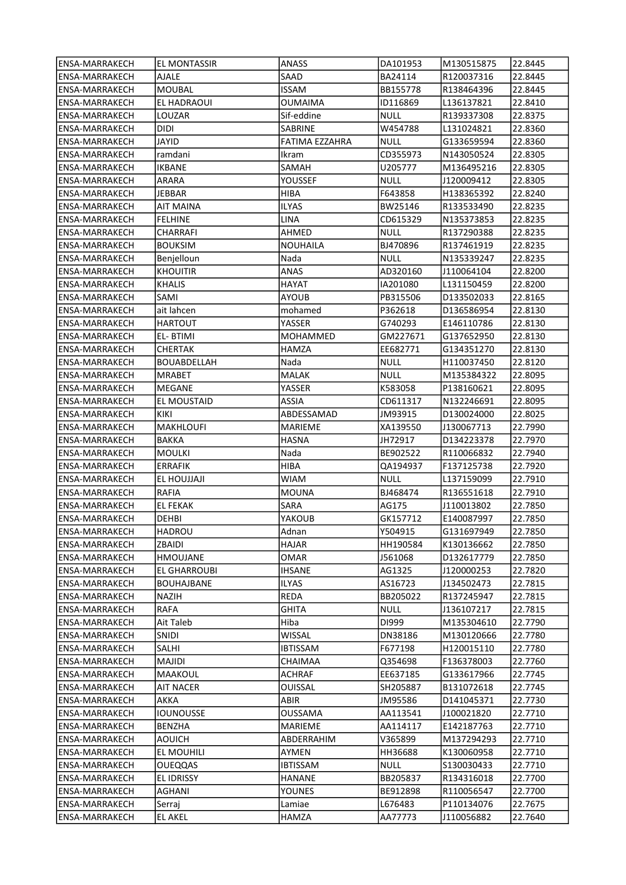| ENSA-MARRAKECH                   | <b>EL MONTASSIR</b>       | ANASS           | DA101953         | M130515875               | 22.8445 |
|----------------------------------|---------------------------|-----------------|------------------|--------------------------|---------|
| ENSA-MARRAKECH                   | AJALE                     | SAAD            | BA24114          | R120037316               | 22.8445 |
| ENSA-MARRAKECH                   | MOUBAL                    | <b>ISSAM</b>    | BB155778         | R138464396               | 22.8445 |
| ENSA-MARRAKECH                   | EL HADRAOUI               | OUMAIMA         | ID116869         | L136137821               | 22.8410 |
| <b>ENSA-MARRAKECH</b>            | LOUZAR                    | Sif-eddine      | NULL             | R139337308               | 22.8375 |
| <b>ENSA-MARRAKECH</b>            | <b>DIDI</b>               | <b>SABRINE</b>  | W454788          | L131024821               | 22.8360 |
| ENSA-MARRAKECH                   | <b>JAYID</b>              | FATIMA EZZAHRA  | NULL             | G133659594               | 22.8360 |
| ENSA-MARRAKECH                   | ramdani                   | Ikram           | CD355973         | N143050524               | 22.8305 |
| ENSA-MARRAKECH                   | <b>IKBANE</b>             | SAMAH           | U205777          | M136495216               | 22.8305 |
| ENSA-MARRAKECH                   | ARARA                     | YOUSSEF         | <b>NULL</b>      | J120009412               | 22.8305 |
| ENSA-MARRAKECH                   | JEBBAR                    | HIBA            | F643858          | H138365392               | 22.8240 |
|                                  |                           | <b>ILYAS</b>    |                  |                          |         |
| ENSA-MARRAKECH                   | AIT MAINA                 |                 | BW25146          | R133533490               | 22.8235 |
| ENSA-MARRAKECH                   | <b>FELHINE</b>            | LINA            | CD615329         | N135373853               | 22.8235 |
| ENSA-MARRAKECH                   | CHARRAFI                  | AHMED           | NULL             | R137290388               | 22.8235 |
| ENSA-MARRAKECH                   | <b>BOUKSIM</b>            | NOUHAILA        | BJ470896         | R137461919               | 22.8235 |
| ENSA-MARRAKECH                   | Benjelloun                | Nada            | NULL             | N135339247               | 22.8235 |
| ENSA-MARRAKECH                   | <b>KHOUITIR</b>           | ANAS            | AD320160         | J110064104               | 22.8200 |
| ENSA-MARRAKECH                   | <b>KHALIS</b>             | HAYAT           | IA201080         | L131150459               | 22.8200 |
| ENSA-MARRAKECH                   | SAMI                      | AYOUB           | PB315506         | D133502033               | 22.8165 |
| ENSA-MARRAKECH                   | ait lahcen                | mohamed         | P362618          | D136586954               | 22.8130 |
| ENSA-MARRAKECH                   | <b>HARTOUT</b>            | YASSER          | G740293          | E146110786               | 22.8130 |
| ENSA-MARRAKECH                   | EL-BTIMI                  | MOHAMMED        | GM227671         | G137652950               | 22.8130 |
| ENSA-MARRAKECH                   | <b>CHERTAK</b>            | HAMZA           | EE682771         | G134351270               | 22.8130 |
| ENSA-MARRAKECH                   | BOUABDELLAH               | Nada            | NULL             | H110037450               | 22.8120 |
| ENSA-MARRAKECH                   | <b>MRABET</b>             | MALAK           | <b>NULL</b>      | M135384322               | 22.8095 |
| ENSA-MARRAKECH                   | <b>MEGANE</b>             | YASSER          | K583058          | P138160621               | 22.8095 |
| ENSA-MARRAKECH                   | EL MOUSTAID               | ASSIA           | CD611317         | N132246691               | 22.8095 |
| ENSA-MARRAKECH                   | KIKI                      | ABDESSAMAD      | JM93915          | D130024000               | 22.8025 |
| ENSA-MARRAKECH                   | MAKHLOUFI                 | MARIEME         | XA139550         | J130067713               | 22.7990 |
| ENSA-MARRAKECH                   | <b>BAKKA</b>              | HASNA           | JH72917          | D134223378               | 22.7970 |
| ENSA-MARRAKECH                   | <b>MOULKI</b>             | Nada            | BE902522         | R110066832               | 22.7940 |
| ENSA-MARRAKECH                   | <b>ERRAFIK</b>            | HIBA            | QA194937         | F137125738               | 22.7920 |
| ENSA-MARRAKECH                   | EL HOUJJAJI               | <b>WIAM</b>     | <b>NULL</b>      | L137159099               | 22.7910 |
| ENSA-MARRAKECH                   | <b>RAFIA</b>              | <b>MOUNA</b>    | BJ468474         | R136551618               | 22.7910 |
| ENSA-MARRAKECH                   | <b>EL FEKAK</b>           | SARA            | AG175            | J110013802               | 22.7850 |
| ENSA-MARRAKECH                   | DEHBI                     | YAKOUB          | GK157712         | E140087997               | 22.7850 |
| <b>ENSA-MARRAKECH</b>            | <b>HADROU</b>             | Adnan           | Y504915          | G131697949               | 22.7850 |
| ENSA-MARRAKECH                   | ZBAIDI                    | HAJAR           | HH190584         | K130136662               | 22.7850 |
| ENSA-MARRAKECH                   | <b>HMOUJANE</b>           | OMAR            | J561068          | D132617779               | 22.7850 |
| ENSA-MARRAKECH                   | EL GHARROUBI              | <b>IHSANE</b>   | AG1325           | J120000253               | 22.7820 |
| <b>ENSA-MARRAKECH</b>            | <b>BOUHAJBANE</b>         | <b>ILYAS</b>    | AS16723          | J134502473               | 22.7815 |
| ENSA-MARRAKECH                   | NAZIH                     | REDA            | BB205022         | R137245947               | 22.7815 |
| ENSA-MARRAKECH                   | <b>RAFA</b>               | GHITA           | <b>NULL</b>      | J136107217               | 22.7815 |
|                                  |                           |                 |                  |                          | 22.7790 |
| ENSA-MARRAKECH<br>ENSA-MARRAKECH | Ait Taleb<br><b>SNIDI</b> | Hiba<br>WISSAL  | DI999<br>DN38186 | M135304610<br>M130120666 | 22.7780 |
|                                  |                           |                 |                  |                          |         |
| ENSA-MARRAKECH                   | SALHI                     | IBTISSAM        | F677198          | H120015110<br>F136378003 | 22.7780 |
| ENSA-MARRAKECH                   | MAJIDI                    | CHAIMAA         | Q354698          |                          | 22.7760 |
| ENSA-MARRAKECH                   | MAAKOUL                   | <b>ACHRAF</b>   | EE637185         | G133617966               | 22.7745 |
| ENSA-MARRAKECH                   | AIT NACER                 | OUISSAL         | SH205887         | B131072618               | 22.7745 |
| ENSA-MARRAKECH                   | AKKA                      | ABIR            | JM95586          | D141045371               | 22.7730 |
| ENSA-MARRAKECH                   | IOUNOUSSE                 | OUSSAMA         | AA113541         | J100021820               | 22.7710 |
| ENSA-MARRAKECH                   | <b>BENZHA</b>             | MARIEME         | AA114117         | E142187763               | 22.7710 |
| ENSA-MARRAKECH                   | <b>AOUICH</b>             | ABDERRAHIM      | V365899          | M137294293               | 22.7710 |
| ENSA-MARRAKECH                   | EL MOUHILI                | AYMEN           | HH36688          | K130060958               | 22.7710 |
| ENSA-MARRAKECH                   | <b>OUEQQAS</b>            | <b>IBTISSAM</b> | <b>NULL</b>      | S130030433               | 22.7710 |
| ENSA-MARRAKECH                   | EL IDRISSY                | HANANE          | BB205837         | R134316018               | 22.7700 |
| ENSA-MARRAKECH                   | AGHANI                    | YOUNES          | BE912898         | R110056547               | 22.7700 |
| ENSA-MARRAKECH                   | Serraj                    | Lamiae          | L676483          | P110134076               | 22.7675 |
| ENSA-MARRAKECH                   | <b>EL AKEL</b>            | HAMZA           | AA77773          | J110056882               | 22.7640 |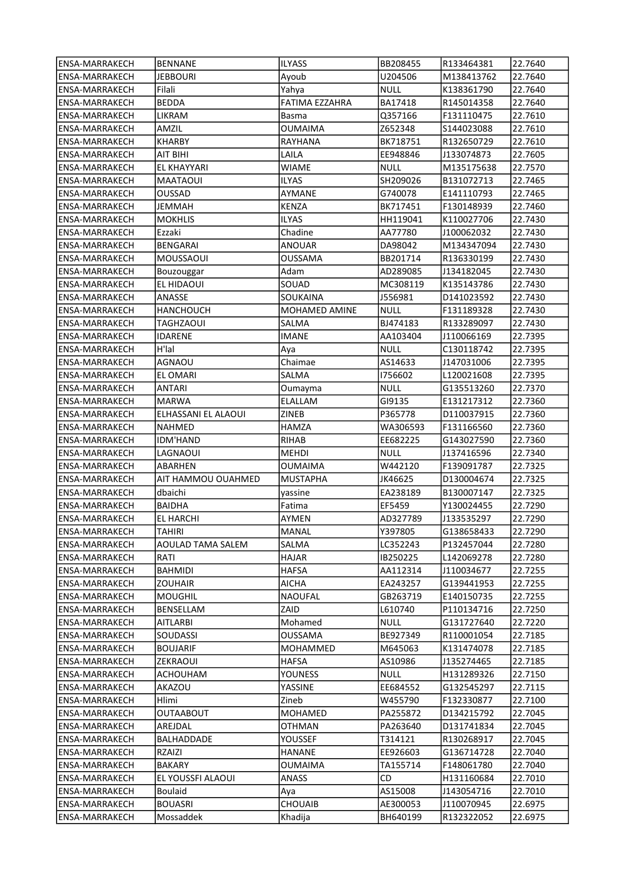| lENSA-MARRAKECH       | <b>BENNANE</b>      | ILYASS          | BB208455    | R133464381 | 22.7640 |
|-----------------------|---------------------|-----------------|-------------|------------|---------|
| ENSA-MARRAKECH        | <b>JEBBOURI</b>     | Ayoub           | U204506     | M138413762 | 22.7640 |
| <b>ENSA-MARRAKECH</b> | Filali              | Yahya           | NULL        | K138361790 | 22.7640 |
| ENSA-MARRAKECH        | <b>BEDDA</b>        | FATIMA EZZAHRA  | BA17418     | R145014358 | 22.7640 |
| ENSA-MARRAKECH        | LIKRAM              | Basma           | Q357166     | F131110475 | 22.7610 |
| ENSA-MARRAKECH        | AMZIL               | <b>OUMAIMA</b>  | Z652348     | S144023088 | 22.7610 |
| <b>ENSA-MARRAKECH</b> | <b>KHARBY</b>       | RAYHANA         | BK718751    | R132650729 | 22.7610 |
| <b>ENSA-MARRAKECH</b> | AIT BIHI            | LAILA           | EE948846    | J133074873 | 22.7605 |
| <b>ENSA-MARRAKECH</b> | EL KHAYYARI         | <b>WIAME</b>    | <b>NULL</b> | M135175638 | 22.7570 |
| <b>ENSA-MARRAKECH</b> | MAATAOUI            | <b>ILYAS</b>    | SH209026    | B131072713 | 22.7465 |
| ENSA-MARRAKECH        | OUSSAD              | AYMANE          | G740078     | E141110793 | 22.7465 |
| ENSA-MARRAKECH        | JEMMAH              | <b>KENZA</b>    | BK717451    | F130148939 | 22.7460 |
| <b>ENSA-MARRAKECH</b> | <b>MOKHLIS</b>      | <b>ILYAS</b>    | HH119041    | K110027706 | 22.7430 |
| ENSA-MARRAKECH        | Ezzaki              | Chadine         | AA77780     | J100062032 | 22.7430 |
| <b>ENSA-MARRAKECH</b> | BENGARAI            | <b>ANOUAR</b>   | DA98042     | M134347094 | 22.7430 |
| ENSA-MARRAKECH        | MOUSSAOUI           | <b>OUSSAMA</b>  | BB201714    | R136330199 | 22.7430 |
| ENSA-MARRAKECH        | Bouzouggar          | Adam            | AD289085    | J134182045 | 22.7430 |
| <b>ENSA-MARRAKECH</b> | EL HIDAOUI          | SOUAD           | MC308119    | K135143786 | 22.7430 |
| ENSA-MARRAKECH        | ANASSE              | SOUKAINA        | J556981     | D141023592 | 22.7430 |
| ENSA-MARRAKECH        | HANCHOUCH           | MOHAMED AMINE   | <b>NULL</b> | F131189328 | 22.7430 |
| <b>ENSA-MARRAKECH</b> | <b>TAGHZAOUI</b>    | SALMA           | BJ474183    | R133289097 | 22.7430 |
| ENSA-MARRAKECH        | IDARENE             | IMANE           | AA103404    | J110066169 | 22.7395 |
| <b>ENSA-MARRAKECH</b> | H'lal               | Aya             | <b>NULL</b> | C130118742 | 22.7395 |
| ENSA-MARRAKECH        | <b>AGNAOU</b>       | Chaimae         | AS14633     | J147031006 | 22.7395 |
| <b>ENSA-MARRAKECH</b> | <b>EL OMARI</b>     | SALMA           | 1756602     | L120021608 | 22.7395 |
| ENSA-MARRAKECH        | ANTARI              | Oumayma         | <b>NULL</b> | G135513260 | 22.7370 |
| ENSA-MARRAKECH        | MARWA               | ELALLAM         | GI9135      | E131217312 | 22.7360 |
| <b>ENSA-MARRAKECH</b> | ELHASSANI EL ALAOUI | <b>ZINEB</b>    | P365778     | D110037915 | 22.7360 |
| <b>ENSA-MARRAKECH</b> | NAHMED              | HAMZA           | WA306593    | F131166560 | 22.7360 |
| ENSA-MARRAKECH        | IDM'HAND            | RIHAB           | EE682225    | G143027590 | 22.7360 |
| ENSA-MARRAKECH        | LAGNAOUI            | <b>MEHDI</b>    | <b>NULL</b> | J137416596 | 22.7340 |
| ENSA-MARRAKECH        | ABARHEN             | <b>OUMAIMA</b>  | W442120     | F139091787 | 22.7325 |
| <b>ENSA-MARRAKECH</b> | AIT HAMMOU OUAHMED  | <b>MUSTAPHA</b> | JK46625     | D130004674 | 22.7325 |
| ENSA-MARRAKECH        | dbaichi             | yassine         | EA238189    | B130007147 | 22.7325 |
| ENSA-MARRAKECH        | BAIDHA              | Fatima          | EF5459      | Y130024455 | 22.7290 |
| <b>ENSA-MARRAKECH</b> | EL HARCHI           | AYMEN           | AD327789    | J133535297 | 22.7290 |
| <b>ENSA-MARRAKECH</b> | <b>TAHIRI</b>       | MANAL           | Y397805     | G138658433 | 22.7290 |
| ENSA-MARRAKECH        | AOULAD TAMA SALEM   | SALMA           | LC352243    | P132457044 | 22.7280 |
| ENSA-MARRAKECH        | RATI                | HAJAR           | IB250225    | L142069278 | 22.7280 |
| <b>ENSA-MARRAKECH</b> | <b>BAHMIDI</b>      | <b>HAFSA</b>    | AA112314    | J110034677 | 22.7255 |
| <b>ENSA-MARRAKECH</b> | <b>ZOUHAIR</b>      | AICHA           | EA243257    | G139441953 | 22.7255 |
| <b>ENSA-MARRAKECH</b> | <b>MOUGHIL</b>      | NAOUFAL         | GB263719    | E140150735 | 22.7255 |
| <b>ENSA-MARRAKECH</b> | BENSELLAM           | ZAID            | L610740     | P110134716 | 22.7250 |
| <b>ENSA-MARRAKECH</b> | <b>AITLARBI</b>     | Mohamed         | <b>NULL</b> | G131727640 | 22.7220 |
| <b>ENSA-MARRAKECH</b> | SOUDASSI            | OUSSAMA         | BE927349    | R110001054 | 22.7185 |
| <b>ENSA-MARRAKECH</b> | <b>BOUJARIF</b>     | MOHAMMED        | M645063     | K131474078 | 22.7185 |
| <b>ENSA-MARRAKECH</b> | ZEKRAOUI            | <b>HAFSA</b>    | AS10986     | J135274465 | 22.7185 |
| ENSA-MARRAKECH        | ACHOUHAM            | <b>YOUNESS</b>  | <b>NULL</b> | H131289326 | 22.7150 |
| <b>ENSA-MARRAKECH</b> | AKAZOU              | YASSINE         | EE684552    | G132545297 | 22.7115 |
| <b>ENSA-MARRAKECH</b> | Hlimi               | Zineb           | W455790     | F132330877 | 22.7100 |
| <b>ENSA-MARRAKECH</b> | OUTAABOUT           | MOHAMED         | PA255872    | D134215792 | 22.7045 |
| ENSA-MARRAKECH        | AREJDAL             | OTHMAN          | PA263640    | D131741834 | 22.7045 |
| <b>ENSA-MARRAKECH</b> | BALHADDADE          | YOUSSEF         | T314121     | R130268917 | 22.7045 |
| <b>ENSA-MARRAKECH</b> | RZAIZI              | HANANE          | EE926603    | G136714728 | 22.7040 |
| ENSA-MARRAKECH        | BAKARY              | OUMAIMA         | TA155714    | F148061780 | 22.7040 |
| ENSA-MARRAKECH        | EL YOUSSFI ALAOUI   | <b>ANASS</b>    | CD          | H131160684 | 22.7010 |
| ENSA-MARRAKECH        | Boulaid             | Aya             | AS15008     | J143054716 | 22.7010 |
| <b>ENSA-MARRAKECH</b> | <b>BOUASRI</b>      | <b>CHOUAIB</b>  | AE300053    | J110070945 | 22.6975 |
| <b>ENSA-MARRAKECH</b> | Mossaddek           | Khadija         | BH640199    | R132322052 | 22.6975 |